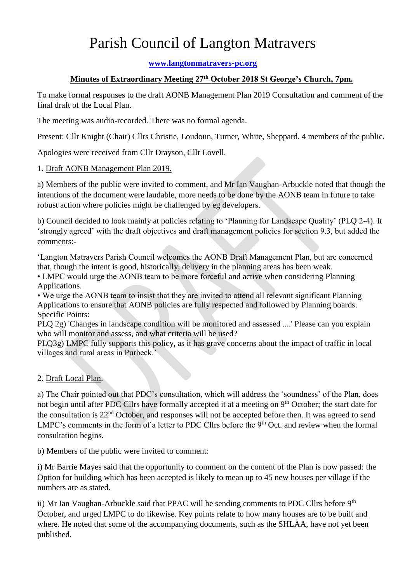# Parish Council of Langton Matravers

**[www.langtonmatravers-pc.org](http://www.langtonmatravers-pc.org/)**

### **Minutes of Extraordinary Meeting 27th October 2018 St George's Church, 7pm.**

To make formal responses to the draft AONB Management Plan 2019 Consultation and comment of the final draft of the Local Plan.

The meeting was audio-recorded. There was no formal agenda.

Present: Cllr Knight (Chair) Cllrs Christie, Loudoun, Turner, White, Sheppard. 4 members of the public.

Apologies were received from Cllr Drayson, Cllr Lovell.

#### 1. Draft AONB Management Plan 2019.

a) Members of the public were invited to comment, and Mr Ian Vaughan-Arbuckle noted that though the intentions of the document were laudable, more needs to be done by the AONB team in future to take robust action where policies might be challenged by eg developers.

b) Council decided to look mainly at policies relating to 'Planning for Landscape Quality' (PLQ 2-4). It 'strongly agreed' with the draft objectives and draft management policies for section 9.3, but added the comments:-

'Langton Matravers Parish Council welcomes the AONB Draft Management Plan, but are concerned that, though the intent is good, historically, delivery in the planning areas has been weak.

• LMPC would urge the AONB team to be more forceful and active when considering Planning Applications.

• We urge the AONB team to insist that they are invited to attend all relevant significant Planning Applications to ensure that AONB policies are fully respected and followed by Planning boards. Specific Points:

PLQ 2g) 'Changes in landscape condition will be monitored and assessed ....' Please can you explain who will monitor and assess, and what criteria will be used?

PLQ3g) LMPC fully supports this policy, as it has grave concerns about the impact of traffic in local villages and rural areas in Purbeck.'

## 2. Draft Local Plan.

a) The Chair pointed out that PDC's consultation, which will address the 'soundness' of the Plan, does not begin until after PDC Cllrs have formally accepted it at a meeting on 9<sup>th</sup> October; the start date for the consultation is 22nd October, and responses will not be accepted before then. It was agreed to send LMPC's comments in the form of a letter to PDC Cllrs before the 9<sup>th</sup> Oct. and review when the formal consultation begins.

b) Members of the public were invited to comment:

i) Mr Barrie Mayes said that the opportunity to comment on the content of the Plan is now passed: the Option for building which has been accepted is likely to mean up to 45 new houses per village if the numbers are as stated.

ii) Mr Ian Vaughan-Arbuckle said that PPAC will be sending comments to PDC Cllrs before 9<sup>th</sup> October, and urged LMPC to do likewise. Key points relate to how many houses are to be built and where. He noted that some of the accompanying documents, such as the SHLAA, have not yet been published.